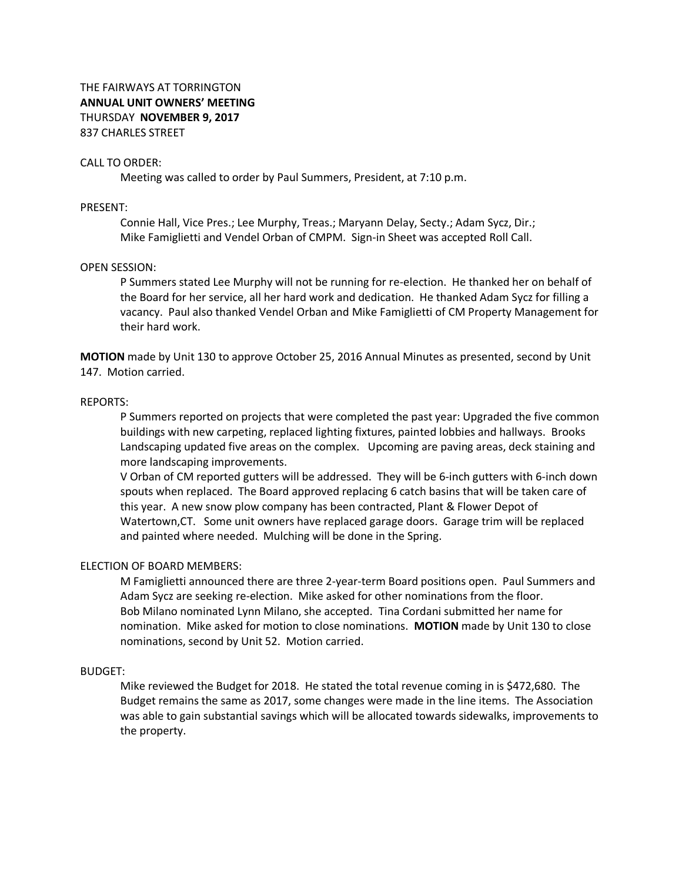# CALL TO ORDER:

Meeting was called to order by Paul Summers, President, at 7:10 p.m.

### PRESENT:

Connie Hall, Vice Pres.; Lee Murphy, Treas.; Maryann Delay, Secty.; Adam Sycz, Dir.; Mike Famiglietti and Vendel Orban of CMPM. Sign-in Sheet was accepted Roll Call.

### OPEN SESSION:

P Summers stated Lee Murphy will not be running for re-election. He thanked her on behalf of the Board for her service, all her hard work and dedication. He thanked Adam Sycz for filling a vacancy. Paul also thanked Vendel Orban and Mike Famiglietti of CM Property Management for their hard work.

**MOTION** made by Unit 130 to approve October 25, 2016 Annual Minutes as presented, second by Unit 147. Motion carried.

### REPORTS:

P Summers reported on projects that were completed the past year: Upgraded the five common buildings with new carpeting, replaced lighting fixtures, painted lobbies and hallways. Brooks Landscaping updated five areas on the complex. Upcoming are paving areas, deck staining and more landscaping improvements.

V Orban of CM reported gutters will be addressed. They will be 6-inch gutters with 6-inch down spouts when replaced. The Board approved replacing 6 catch basins that will be taken care of this year. A new snow plow company has been contracted, Plant & Flower Depot of Watertown,CT. Some unit owners have replaced garage doors. Garage trim will be replaced and painted where needed. Mulching will be done in the Spring.

### ELECTION OF BOARD MEMBERS:

M Famiglietti announced there are three 2-year-term Board positions open. Paul Summers and Adam Sycz are seeking re-election. Mike asked for other nominations from the floor. Bob Milano nominated Lynn Milano, she accepted. Tina Cordani submitted her name for nomination. Mike asked for motion to close nominations. **MOTION** made by Unit 130 to close nominations, second by Unit 52. Motion carried.

### BUDGET:

Mike reviewed the Budget for 2018. He stated the total revenue coming in is \$472,680. The Budget remains the same as 2017, some changes were made in the line items. The Association was able to gain substantial savings which will be allocated towards sidewalks, improvements to the property.